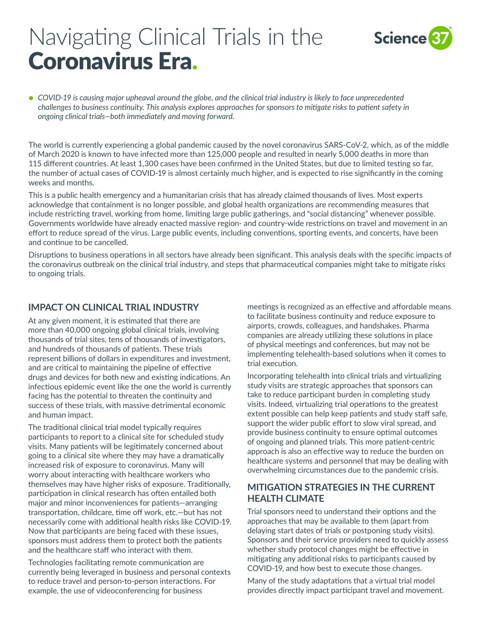# Navigating Clinical Trials in the Coronavirus Era.



● COVID-19 is causing major upheaval around the globe, and the clinical trial industry is likely to face unprecedented *challenges to business continuity. This analysis explores approaches for sponsors to mitigate risks to patient safety in ongoing clinical trials—both immediately and moving forward.*

The world is currently experiencing a global pandemic caused by the novel coronavirus SARS-CoV-2, which, as of the middle of March 2020 is known to have infected more than 125,000 people and resulted in nearly 5,000 deaths in more than 115 different countries. At least 1,300 cases have been confirmed in the United States, but due to limited testing so far, the number of actual cases of COVID-19 is almost certainly much higher, and is expected to rise significantly in the coming weeks and months.

This is a public health emergency and a humanitarian crisis that has already claimed thousands of lives. Most experts acknowledge that containment is no longer possible, and global health organizations are recommending measures that include restricting travel, working from home, limiting large public gatherings, and "social distancing" whenever possible. Governments worldwide have already enacted massive region- and country-wide restrictions on travel and movement in an effort to reduce spread of the virus. Large public events, including conventions, sporting events, and concerts, have been and continue to be cancelled.

Disruptions to business operations in all sectors have already been significant. This analysis deals with the specific impacts of the coronavirus outbreak on the clinical trial industry, and steps that pharmaceutical companies might take to mitigate risks to ongoing trials.

#### **IMPACT ON CLINICAL TRIAL INDUSTRY**

At any given moment, it is estimated that there are more than 40,000 ongoing global clinical trials, involving thousands of trial sites, tens of thousands of investigators, and hundreds of thousands of patients. These trials represent billions of dollars in expenditures and investment, and are critical to maintaining the pipeline of effective drugs and devices for both new and existing indications. An infectious epidemic event like the one the world is currently facing has the potential to threaten the continuity and success of these trials, with massive detrimental economic and human impact.

The traditional clinical trial model typically requires participants to report to a clinical site for scheduled study visits. Many patients will be legitimately concerned about going to a clinical site where they may have a dramatically increased risk of exposure to coronavirus. Many will worry about interacting with healthcare workers who themselves may have higher risks of exposure. Traditionally, participation in clinical research has often entailed both major and minor inconveniences for patients—arranging transportation, childcare, time off work, etc.—but has not necessarily come with additional health risks like COVID-19. Now that participants are being faced with these issues, sponsors must address them to protect both the patients and the healthcare staff who interact with them.

Technologies facilitating remote communication are currently being leveraged in business and personal contexts to reduce travel and person-to-person interactions. For example, the use of videoconferencing for business

meetings is recognized as an effective and affordable means to facilitate business continuity and reduce exposure to airports, crowds, colleagues, and handshakes. Pharma companies are already utilizing these solutions in place of physical meetings and conferences, but may not be implementing telehealth-based solutions when it comes to trial execution.

Incorporating telehealth into clinical trials and virtualizing study visits are strategic approaches that sponsors can take to reduce participant burden in completing study visits. Indeed, virtualizing trial operations to the greatest extent possible can help keep patients and study staff safe, support the wider public effort to slow viral spread, and provide business continuity to ensure optimal outcomes of ongoing and planned trials. This more patient-centric approach is also an effective way to reduce the burden on healthcare systems and personnel that may be dealing with overwhelming circumstances due to the pandemic crisis.

#### **MITIGATION STRATEGIES IN THE CURRENT HEALTH CLIMATE**

Trial sponsors need to understand their options and the approaches that may be available to them (apart from delaying start dates of trials or postponing study visits). Sponsors and their service providers need to quickly assess whether study protocol changes might be effective in mitigating any additional risks to participants caused by COVID-19, and how best to execute those changes.

Many of the study adaptations that a virtual trial model provides directly impact participant travel and movement.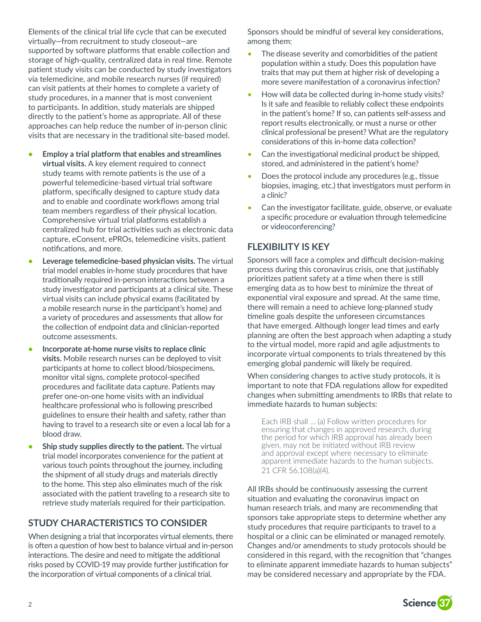Elements of the clinical trial life cycle that can be executed virtually—from recruitment to study closeout—are supported by software platforms that enable collection and storage of high-quality, centralized data in real time. Remote patient study visits can be conducted by study investigators via telemedicine, and mobile research nurses (if required) can visit patients at their homes to complete a variety of study procedures, in a manner that is most convenient to participants. In addition, study materials are shipped directly to the patient's home as appropriate. All of these approaches can help reduce the number of in-person clinic visits that are necessary in the traditional site-based model.

- **• Employ a trial platform that enables and streamlines virtual visits.** A key element required to connect study teams with remote patients is the use of a powerful telemedicine-based virtual trial software platform, specifically designed to capture study data and to enable and coordinate workflows among trial team members regardless of their physical location. Comprehensive virtual trial platforms establish a centralized hub for trial activities such as electronic data capture, eConsent, ePROs, telemedicine visits, patient notifications, and more.
- **• Leverage telemedicine-based physician visits.** The virtual trial model enables in-home study procedures that have traditionally required in-person interactions between a study investigator and participants at a clinical site. These virtual visits can include physical exams (facilitated by a mobile research nurse in the participant's home) and a variety of procedures and assessments that allow for the collection of endpoint data and clinician-reported outcome assessments.
- **• Incorporate at-home nurse visits to replace clinic visits.** Mobile research nurses can be deployed to visit participants at home to collect blood/biospecimens, monitor vital signs, complete protocol-specified procedures and facilitate data capture. Patients may prefer one-on-one home visits with an individual healthcare professional who is following prescribed guidelines to ensure their health and safety, rather than having to travel to a research site or even a local lab for a blood draw.
- **• Ship study supplies directly to the patient.** The virtual trial model incorporates convenience for the patient at various touch points throughout the journey, including the shipment of all study drugs and materials directly to the home. This step also eliminates much of the risk associated with the patient traveling to a research site to retrieve study materials required for their participation.

## **STUDY CHARACTERISTICS TO CONSIDER**

When designing a trial that incorporates virtual elements, there is often a question of how best to balance virtual and in-person interactions. The desire and need to mitigate the additional risks posed by COVID-19 may provide further justification for the incorporation of virtual components of a clinical trial.

Sponsors should be mindful of several key considerations, among them:

- The disease severity and comorbidities of the patient population within a study. Does this population have traits that may put them at higher risk of developing a more severe manifestation of a coronavirus infection?
- How will data be collected during in-home study visits? Is it safe and feasible to reliably collect these endpoints in the patient's home? If so, can patients self-assess and report results electronically, or must a nurse or other clinical professional be present? What are the regulatory considerations of this in-home data collection?
- Can the investigational medicinal product be shipped, stored, and administered in the patient's home?
- Does the protocol include any procedures (e.g., tissue biopsies, imaging, etc.) that investigators must perform in a clinic?
- Can the investigator facilitate, guide, observe, or evaluate a specific procedure or evaluation through telemedicine or videoconferencing?

## **FLEXIBILITY IS KEY**

Sponsors will face a complex and difficult decision-making process during this coronavirus crisis, one that justifiably prioritizes patient safety at a time when there is still emerging data as to how best to minimize the threat of exponential viral exposure and spread. At the same time, there will remain a need to achieve long-planned study timeline goals despite the unforeseen circumstances that have emerged. Although longer lead times and early planning are often the best approach when adapting a study to the virtual model, more rapid and agile adjustments to incorporate virtual components to trials threatened by this emerging global pandemic will likely be required.

When considering changes to active study protocols, it is important to note that FDA regulations allow for expedited changes when submitting amendments to IRBs that relate to immediate hazards to human subjects:

Each IRB shall … (a) Follow written procedures for ensuring that changes in approved research, during the period for which IRB approval has already been given, may not be initiated without IRB review and approval except where necessary to eliminate apparent immediate hazards to the human subjects. 21 CFR 56.108(a)(4).

All IRBs should be continuously assessing the current situation and evaluating the coronavirus impact on human research trials, and many are recommending that sponsors take appropriate steps to determine whether any study procedures that require participants to travel to a hospital or a clinic can be eliminated or managed remotely. Changes and/or amendments to study protocols should be considered in this regard, with the recognition that "changes to eliminate apparent immediate hazards to human subjects" may be considered necessary and appropriate by the FDA.